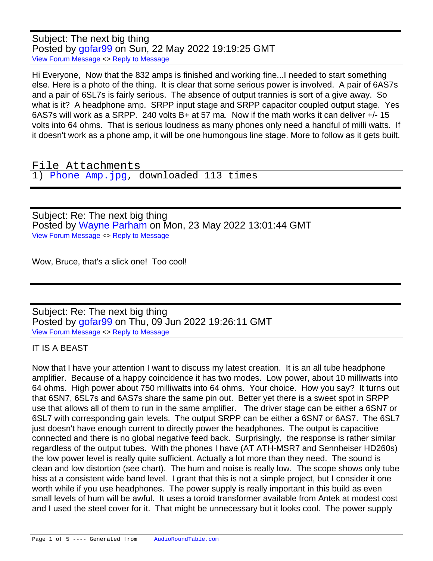Subject: The next big thing Posted by [gofar99](https://audioroundtable.com/forum/index.php?t=usrinfo&id=3806) on Sun, 22 May 2022 19:19:25 GMT [View Forum Message](https://audioroundtable.com/forum/index.php?t=rview&th=23430&goto=95643#msg_95643) <> [Reply to Message](https://audioroundtable.com/forum/index.php?t=post&reply_to=95643)

Hi Everyone, Now that the 832 amps is finished and working fine...I needed to start something else. Here is a photo of the thing. It is clear that some serious power is involved. A pair of 6AS7s and a pair of 6SL7s is fairly serious. The absence of output trannies is sort of a give away. So what is it? A headphone amp. SRPP input stage and SRPP capacitor coupled output stage. Yes 6AS7s will work as a SRPP. 240 volts B+ at 57 ma. Now if the math works it can deliver +/- 15 volts into 64 ohms. That is serious loudness as many phones only need a handful of milli watts. If it doesn't work as a phone amp, it will be one humongous line stage. More to follow as it gets built.

File Attachments 1) [Phone Amp.jpg,](https://audioroundtable.com/forum/index.php?t=getfile&id=3068) downloaded 113 times

Subject: Re: The next big thing Posted by [Wayne Parham](https://audioroundtable.com/forum/index.php?t=usrinfo&id=5) on Mon, 23 May 2022 13:01:44 GMT [View Forum Message](https://audioroundtable.com/forum/index.php?t=rview&th=23430&goto=95647#msg_95647) <> [Reply to Message](https://audioroundtable.com/forum/index.php?t=post&reply_to=95647)

Wow, Bruce, that's a slick one! Too cool!

Subject: Re: The next big thing Posted by [gofar99](https://audioroundtable.com/forum/index.php?t=usrinfo&id=3806) on Thu, 09 Jun 2022 19:26:11 GMT [View Forum Message](https://audioroundtable.com/forum/index.php?t=rview&th=23430&goto=95668#msg_95668) <> [Reply to Message](https://audioroundtable.com/forum/index.php?t=post&reply_to=95668)

IT IS A BEAST

Now that I have your attention I want to discuss my latest creation. It is an all tube headphone amplifier. Because of a happy coincidence it has two modes. Low power, about 10 milliwatts into 64 ohms. High power about 750 milliwatts into 64 ohms. Your choice. How you say? It turns out that 6SN7, 6SL7s and 6AS7s share the same pin out. Better yet there is a sweet spot in SRPP use that allows all of them to run in the same amplifier. The driver stage can be either a 6SN7 or 6SL7 with corresponding gain levels. The output SRPP can be either a 6SN7 or 6AS7. The 6SL7 just doesn't have enough current to directly power the headphones. The output is capacitive connected and there is no global negative feed back. Surprisingly, the response is rather similar regardless of the output tubes. With the phones I have (AT ATH-MSR7 and Sennheiser HD260s) the low power level is really quite sufficient. Actually a lot more than they need. The sound is clean and low distortion (see chart). The hum and noise is really low. The scope shows only tube hiss at a consistent wide band level. I grant that this is not a simple project, but I consider it one worth while if you use headphones. The power supply is really important in this build as even small levels of hum will be awful. It uses a toroid transformer available from Antek at modest cost and I used the steel cover for it. That might be unnecessary but it looks cool. The power supply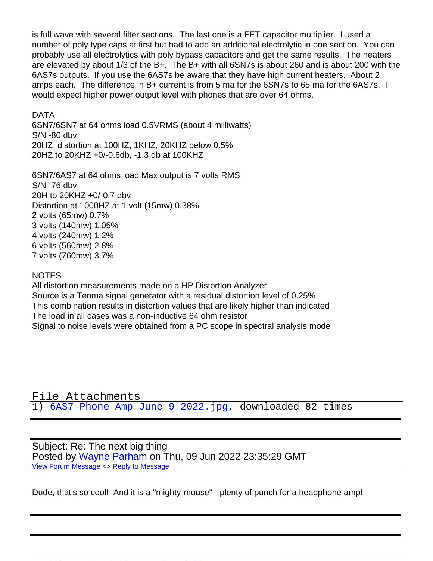is full wave with several filter sections. The last one is a FET capacitor multiplier. I used a number of poly type caps at first but had to add an additional electrolytic in one section. You can probably use all electrolytics with poly bypass capacitors and get the same results. The heaters are elevated by about 1/3 of the B+. The B+ with all 6SN7s is about 260 and is about 200 with the 6AS7s outputs. If you use the 6AS7s be aware that they have high current heaters. About 2 amps each. The difference in B+ current is from 5 ma for the 6SN7s to 65 ma for the 6AS7s. I would expect higher power output level with phones that are over 64 ohms.

DATA

6SN7/6SN7 at 64 ohms load 0.5VRMS (about 4 milliwatts) S/N -80 dbv 20HZ distortion at 100HZ, 1KHZ, 20KHZ below 0.5% 20HZ to 20KHZ +0/-0.6db, -1.3 db at 100KHZ

6SN7/6AS7 at 64 ohms load Max output is 7 volts RMS  $S/N$  -76 dbv 20H to 20KHZ +0/-0.7 dbv Distortion at 1000HZ at 1 volt (15mw) 0.38% 2 volts (65mw) 0.7% 3 volts (140mw) 1.05% 4 volts (240mw) 1.2% 6 volts (560mw) 2.8% 7 volts (760mw) 3.7%

## NOTES

All distortion measurements made on a HP Distortion Analyzer Source is a Tenma signal generator with a residual distortion level of 0.25% This combination results in distortion values that are likely higher than indicated The load in all cases was a non-inductive 64 ohm resistor Signal to noise levels were obtained from a PC scope in spectral analysis mode

File Attachments 1) [6AS7 Phone Amp June 9 2022.jpg,](https://audioroundtable.com/forum/index.php?t=getfile&id=3070) downloaded 82 times

Subject: Re: The next big thing Posted by [Wayne Parham](https://audioroundtable.com/forum/index.php?t=usrinfo&id=5) on Thu, 09 Jun 2022 23:35:29 GMT [View Forum Message](https://audioroundtable.com/forum/index.php?t=rview&th=23430&goto=95670#msg_95670) <> [Reply to Message](https://audioroundtable.com/forum/index.php?t=post&reply_to=95670)

Dude, that's so cool! And it is a "mighty-mouse" - plenty of punch for a headphone amp!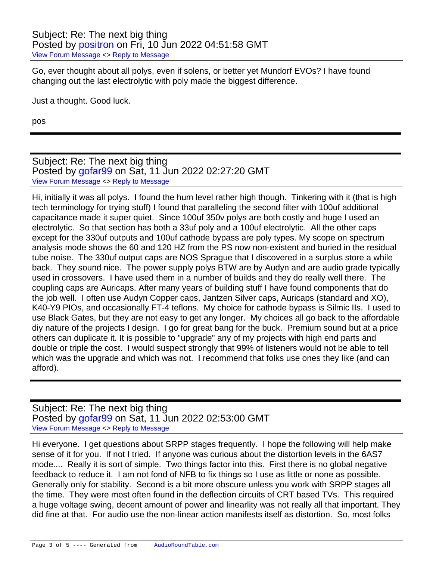Go, ever thought about all polys, even if solens, or better yet Mundorf EVOs? I have found changing out the last electrolytic with poly made the biggest difference.

Just a thought. Good luck.

pos

## Subject: Re: The next big thing Posted by [gofar99](https://audioroundtable.com/forum/index.php?t=usrinfo&id=3806) on Sat, 11 Jun 2022 02:27:20 GMT [View Forum Message](https://audioroundtable.com/forum/index.php?t=rview&th=23430&goto=95672#msg_95672) <> [Reply to Message](https://audioroundtable.com/forum/index.php?t=post&reply_to=95672)

Hi, initially it was all polys. I found the hum level rather high though. Tinkering with it (that is high tech terminology for trying stuff) I found that paralleling the second filter with 100uf additional capacitance made it super quiet. Since 100uf 350v polys are both costly and huge I used an electrolytic. So that section has both a 33uf poly and a 100uf electrolytic. All the other caps except for the 330uf outputs and 100uf cathode bypass are poly types. My scope on spectrum analysis mode shows the 60 and 120 HZ from the PS now non-existent and buried in the residual tube noise. The 330uf output caps are NOS Sprague that I discovered in a surplus store a while back. They sound nice. The power supply polys BTW are by Audyn and are audio grade typically used in crossovers. I have used them in a number of builds and they do really well there. The coupling caps are Auricaps. After many years of building stuff I have found components that do the job well. I often use Audyn Copper caps, Jantzen Silver caps, Auricaps (standard and XO), K40-Y9 PIOs, and occasionally FT-4 teflons. My choice for cathode bypass is Silmic IIs. I used to use Black Gates, but they are not easy to get any longer. My choices all go back to the affordable diy nature of the projects I design. I go for great bang for the buck. Premium sound but at a price others can duplicate it. It is possible to "upgrade" any of my projects with high end parts and double or triple the cost. I would suspect strongly that 99% of listeners would not be able to tell which was the upgrade and which was not. I recommend that folks use ones they like (and can afford).

## Subject: Re: The next big thing Posted by [gofar99](https://audioroundtable.com/forum/index.php?t=usrinfo&id=3806) on Sat, 11 Jun 2022 02:53:00 GMT [View Forum Message](https://audioroundtable.com/forum/index.php?t=rview&th=23430&goto=95673#msg_95673) <> [Reply to Message](https://audioroundtable.com/forum/index.php?t=post&reply_to=95673)

Hi everyone. I get questions about SRPP stages frequently. I hope the following will help make sense of it for you. If not I tried. If anyone was curious about the distortion levels in the 6AS7 mode.... Really it is sort of simple. Two things factor into this. First there is no global negative feedback to reduce it. I am not fond of NFB to fix things so I use as little or none as possible. Generally only for stability. Second is a bit more obscure unless you work with SRPP stages all the time. They were most often found in the deflection circuits of CRT based TVs. This required a huge voltage swing, decent amount of power and linearlity was not really all that important. They did fine at that. For audio use the non-linear action manifests itself as distortion. So, most folks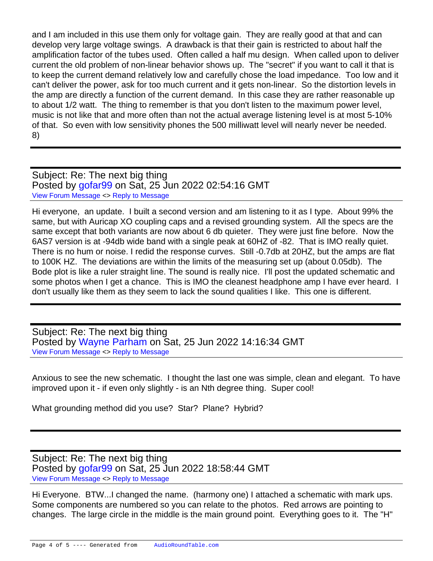and I am included in this use them only for voltage gain. They are really good at that and can develop very large voltage swings. A drawback is that their gain is restricted to about half the amplification factor of the tubes used. Often called a half mu design. When called upon to deliver current the old problem of non-linear behavior shows up. The "secret" if you want to call it that is to keep the current demand relatively low and carefully chose the load impedance. Too low and it can't deliver the power, ask for too much current and it gets non-linear. So the distortion levels in the amp are directly a function of the current demand. In this case they are rather reasonable up to about 1/2 watt. The thing to remember is that you don't listen to the maximum power level, music is not like that and more often than not the actual average listening level is at most 5-10% of that. So even with low sensitivity phones the 500 milliwatt level will nearly never be needed. 8)

Subject: Re: The next big thing Posted by [gofar99](https://audioroundtable.com/forum/index.php?t=usrinfo&id=3806) on Sat, 25 Jun 2022 02:54:16 GMT [View Forum Message](https://audioroundtable.com/forum/index.php?t=rview&th=23430&goto=95713#msg_95713) <> [Reply to Message](https://audioroundtable.com/forum/index.php?t=post&reply_to=95713)

Hi everyone, an update. I built a second version and am listening to it as I type. About 99% the same, but with Auricap XO coupling caps and a revised grounding system. All the specs are the same except that both variants are now about 6 db quieter. They were just fine before. Now the 6AS7 version is at -94db wide band with a single peak at 60HZ of -82. That is IMO really quiet. There is no hum or noise. I redid the response curves. Still -0.7db at 20HZ, but the amps are flat to 100K HZ. The deviations are within the limits of the measuring set up (about 0.05db). The Bode plot is like a ruler straight line. The sound is really nice. I'll post the updated schematic and some photos when I get a chance. This is IMO the cleanest headphone amp I have ever heard. I don't usually like them as they seem to lack the sound qualities I like. This one is different.

Subject: Re: The next big thing Posted by [Wayne Parham](https://audioroundtable.com/forum/index.php?t=usrinfo&id=5) on Sat, 25 Jun 2022 14:16:34 GMT [View Forum Message](https://audioroundtable.com/forum/index.php?t=rview&th=23430&goto=95714#msg_95714) <> [Reply to Message](https://audioroundtable.com/forum/index.php?t=post&reply_to=95714)

Anxious to see the new schematic. I thought the last one was simple, clean and elegant. To have improved upon it - if even only slightly - is an Nth degree thing. Super cool!

What grounding method did you use? Star? Plane? Hybrid?

Subject: Re: The next big thing Posted by [gofar99](https://audioroundtable.com/forum/index.php?t=usrinfo&id=3806) on Sat, 25 Jun 2022 18:58:44 GMT [View Forum Message](https://audioroundtable.com/forum/index.php?t=rview&th=23430&goto=95716#msg_95716) <> [Reply to Message](https://audioroundtable.com/forum/index.php?t=post&reply_to=95716)

Hi Everyone. BTW...I changed the name. (harmony one) I attached a schematic with mark ups. Some components are numbered so you can relate to the photos. Red arrows are pointing to changes. The large circle in the middle is the main ground point. Everything goes to it. The "H"